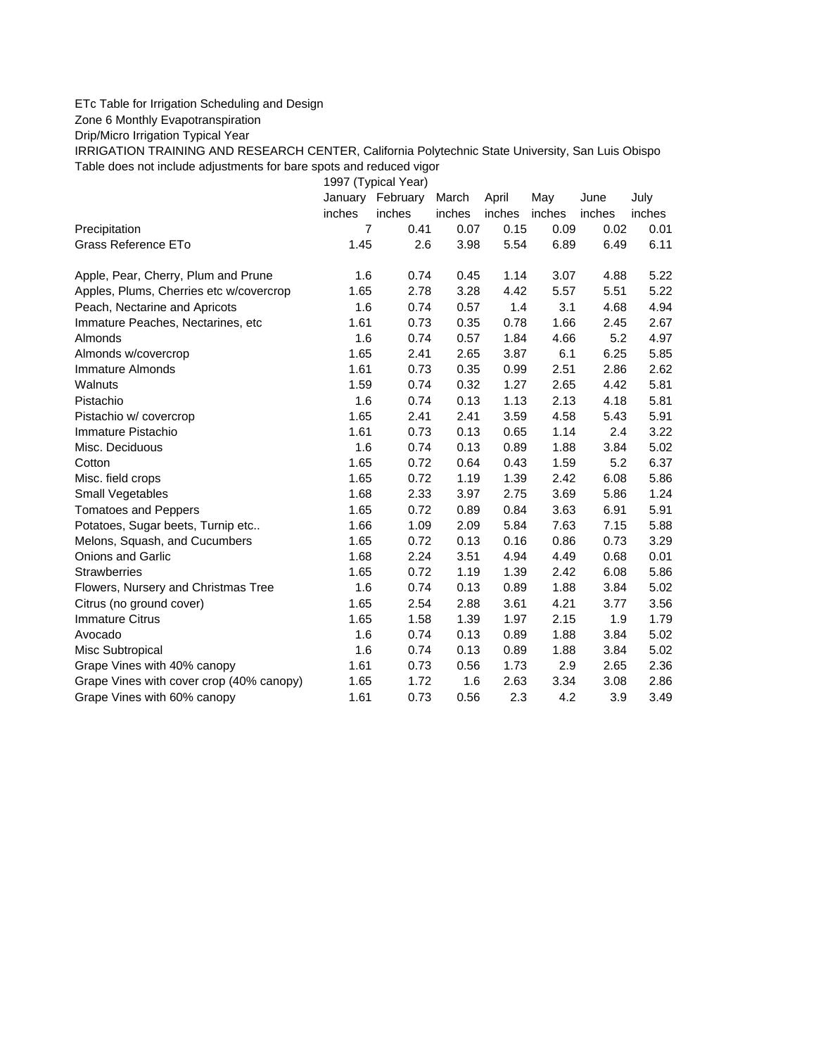## ETc Table for Irrigation Scheduling and Design

Zone 6 Monthly Evapotranspiration

Drip/Micro Irrigation Typical Year

IRRIGATION TRAINING AND RESEARCH CENTER, California Polytechnic State University, San Luis Obispo Table does not include adjustments for bare spots and reduced vigor

1997 (Typical Year)

|                                          |        | January February | March  | April  | May    | June   | July   |
|------------------------------------------|--------|------------------|--------|--------|--------|--------|--------|
|                                          | inches | inches           | inches | inches | inches | inches | inches |
| Precipitation                            | 7      | 0.41             | 0.07   | 0.15   | 0.09   | 0.02   | 0.01   |
| <b>Grass Reference ETo</b>               | 1.45   | 2.6              | 3.98   | 5.54   | 6.89   | 6.49   | 6.11   |
| Apple, Pear, Cherry, Plum and Prune      | 1.6    | 0.74             | 0.45   | 1.14   | 3.07   | 4.88   | 5.22   |
| Apples, Plums, Cherries etc w/covercrop  | 1.65   | 2.78             | 3.28   | 4.42   | 5.57   | 5.51   | 5.22   |
| Peach, Nectarine and Apricots            | 1.6    | 0.74             | 0.57   | 1.4    | 3.1    | 4.68   | 4.94   |
| Immature Peaches, Nectarines, etc        | 1.61   | 0.73             | 0.35   | 0.78   | 1.66   | 2.45   | 2.67   |
| Almonds                                  | 1.6    | 0.74             | 0.57   | 1.84   | 4.66   | 5.2    | 4.97   |
| Almonds w/covercrop                      | 1.65   | 2.41             | 2.65   | 3.87   | 6.1    | 6.25   | 5.85   |
| <b>Immature Almonds</b>                  | 1.61   | 0.73             | 0.35   | 0.99   | 2.51   | 2.86   | 2.62   |
| Walnuts                                  | 1.59   | 0.74             | 0.32   | 1.27   | 2.65   | 4.42   | 5.81   |
| Pistachio                                | 1.6    | 0.74             | 0.13   | 1.13   | 2.13   | 4.18   | 5.81   |
| Pistachio w/ covercrop                   | 1.65   | 2.41             | 2.41   | 3.59   | 4.58   | 5.43   | 5.91   |
| Immature Pistachio                       | 1.61   | 0.73             | 0.13   | 0.65   | 1.14   | 2.4    | 3.22   |
| Misc. Deciduous                          | 1.6    | 0.74             | 0.13   | 0.89   | 1.88   | 3.84   | 5.02   |
| Cotton                                   | 1.65   | 0.72             | 0.64   | 0.43   | 1.59   | 5.2    | 6.37   |
| Misc. field crops                        | 1.65   | 0.72             | 1.19   | 1.39   | 2.42   | 6.08   | 5.86   |
| Small Vegetables                         | 1.68   | 2.33             | 3.97   | 2.75   | 3.69   | 5.86   | 1.24   |
| <b>Tomatoes and Peppers</b>              | 1.65   | 0.72             | 0.89   | 0.84   | 3.63   | 6.91   | 5.91   |
| Potatoes, Sugar beets, Turnip etc        | 1.66   | 1.09             | 2.09   | 5.84   | 7.63   | 7.15   | 5.88   |
| Melons, Squash, and Cucumbers            | 1.65   | 0.72             | 0.13   | 0.16   | 0.86   | 0.73   | 3.29   |
| <b>Onions and Garlic</b>                 | 1.68   | 2.24             | 3.51   | 4.94   | 4.49   | 0.68   | 0.01   |
| <b>Strawberries</b>                      | 1.65   | 0.72             | 1.19   | 1.39   | 2.42   | 6.08   | 5.86   |
| Flowers, Nursery and Christmas Tree      | 1.6    | 0.74             | 0.13   | 0.89   | 1.88   | 3.84   | 5.02   |
| Citrus (no ground cover)                 | 1.65   | 2.54             | 2.88   | 3.61   | 4.21   | 3.77   | 3.56   |
| <b>Immature Citrus</b>                   | 1.65   | 1.58             | 1.39   | 1.97   | 2.15   | 1.9    | 1.79   |
| Avocado                                  | 1.6    | 0.74             | 0.13   | 0.89   | 1.88   | 3.84   | 5.02   |
| Misc Subtropical                         | 1.6    | 0.74             | 0.13   | 0.89   | 1.88   | 3.84   | 5.02   |
| Grape Vines with 40% canopy              | 1.61   | 0.73             | 0.56   | 1.73   | 2.9    | 2.65   | 2.36   |
| Grape Vines with cover crop (40% canopy) | 1.65   | 1.72             | 1.6    | 2.63   | 3.34   | 3.08   | 2.86   |
| Grape Vines with 60% canopy              | 1.61   | 0.73             | 0.56   | 2.3    | 4.2    | 3.9    | 3.49   |